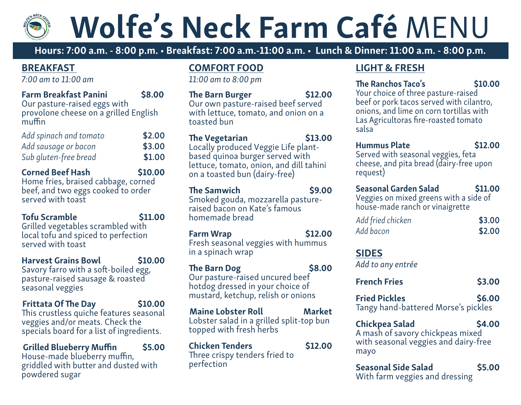# Wolfe's Neck Farm Café MENU

Hours: 7:00 a.m. - 8:00 p.m. • Breakfast: 7:00 a.m.-11:00 a.m. • Lunch & Dinner: 11:00 a.m. - 8:00 p.m.

#### BREAKFAST

*7:00 am to 11:00 am*

| <b>Farm Breakfast Panini</b>                                                    | \$8.00 |
|---------------------------------------------------------------------------------|--------|
| Our pasture-raised eggs with<br>provolone cheese on a grilled English<br>muffin |        |
| Add spinach and tomato                                                          | \$2.00 |
| Add sausage or bacon                                                            | \$3.00 |
| Sub gluten-free bread                                                           | \$1.00 |
|                                                                                 |        |

Corned Beef Hash \$10.00 Home fries, braised cabbage, corned beef, and two eggs cooked to order served with toast

Tofu Scramble **\$11.00** Grilled vegetables scrambled with local tofu and spiced to perfection served with toast

Harvest Grains Bowl \$10.00 Savory farro with a soft-boiled egg, pasture-raised sausage & roasted seasonal veggies

Frittata Of The Day \$10.00 This crustless quiche features seasonal veggies and/or meats. Check the specials board for a list of ingredients.

Grilled Blueberry Muffin \$5.00 House-made blueberry muffin, griddled with butter and dusted with powdered sugar

### COMFORT FOOD

*11:00 am to 8:00 pm*

| <b>The Barn Burger</b><br>Our own pasture-raised beef served<br>with lettuce, tomato, and onion on a<br>toasted bun                                                         | <b>\$12.00</b> |
|-----------------------------------------------------------------------------------------------------------------------------------------------------------------------------|----------------|
| <b>The Vegetarian</b><br>Locally produced Veggie Life plant-<br>based quinoa burger served with<br>lettuce, tomato, onion, and dill tahini<br>on a toasted bun (dairy-free) | \$13.00        |
| <b>The Samwich</b><br>Smoked gouda, mozzarella pasture-<br>raised bacon on Kate's famous<br>homemade bread                                                                  | <b>\$9.00</b>  |

Farm Wrap \$12.00 Fresh seasonal veggies with hummus in a spinach wrap

The Barn Dog \$8.00 Our pasture-raised uncured beef hotdog dressed in your choice of mustard, ketchup, relish or onions

Maine Lobster Roll Market Lobster salad in a grilled split-top bun topped with fresh herbs

Chicken Tenders \$12.00 Three crispy tenders fried to perfection

#### LIGHT & FRESH

#### The Ranchos Taco's \$10.00

Your choice of three pasture-raised beef or pork tacos served with cilantro, onions, and lime on corn tortillas with Las Agricultoras fire-roasted tomato salsa

| <b>Hummus Plate</b>                     | \$12.00 |
|-----------------------------------------|---------|
| Served with seasonal veggies, feta      |         |
| cheese, and pita bread (dairy-free upon |         |
| request)                                |         |
|                                         |         |

| Seasonal Garden Salad                  | \$11.00 |
|----------------------------------------|---------|
| Veggies on mixed greens with a side of |         |
| house-made ranch or vinaigrette        |         |

| Add fried chicken | \$3.00 |
|-------------------|--------|
| Add bacon         | \$2.00 |

## SIDES

*Add to any entrée*

| <b>French Fries</b>  | \$3.00 |
|----------------------|--------|
| <b>Fried Pickles</b> | \$6.00 |

Tangy hand-battered Morse's pickles

### Chickpea Salad \$4.00

A mash of savory chickpeas mixed with seasonal veggies and dairy-free mayo

Seasonal Side Salad \$5.00 With farm veggies and dressing